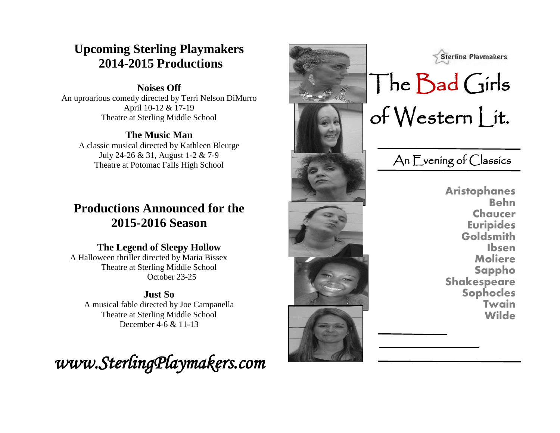# **Upcoming Sterling Playmakers 2014-2015 Productions**

#### **Noises Off**

An uproarious comedy directed by Terri Nelson DiMurro April 10-12 & 17-19 Theatre at Sterling Middle School

#### **The Music Man**

A classic musical directed by Kathleen Bleutge July 24-26 & 31, August 1-2 & 7-9 Theatre at Potomac Falls High School

# **Productions Announced for the 2015-2016 Season**

#### **The Legend of Sleepy Hollow**

A Halloween thriller directed by Maria Bissex Theatre at Sterling Middle School October 23-25

#### **Just So** A musical fable directed by Joe Campanella Theatre at Sterling Middle School December 4-6 & 11-13







# The Bad Girls of Western Lit.

An Evening of Classics

**Aristophanes Behn Chaucer Euripides Goldsmith Ibsen Moliere Sappho Shakespeare Sophocles Twain Wilde**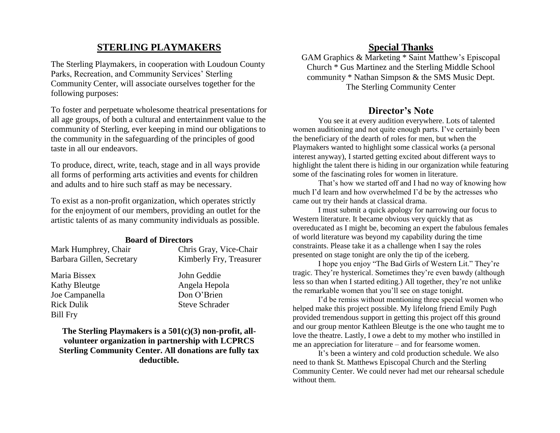#### **STERLING PLAYMAKERS**

The Sterling Playmakers, in cooperation with Loudoun County Parks, Recreation, and Community Services' Sterling Community Center, will associate ourselves together for the following purposes:

To foster and perpetuate wholesome theatrical presentations for all age groups, of both a cultural and entertainment value to the community of Sterling, ever keeping in mind our obligations to the community in the safeguarding of the principles of good taste in all our endeavors.

To produce, direct, write, teach, stage and in all ways provide all forms of performing arts activities and events for children and adults and to hire such staff as may be necessary.

To exist as a non-profit organization, which operates strictly for the enjoyment of our members, providing an outlet for the artistic talents of as many community individuals as possible.

#### **Board of Directors**

| Mark Humphrey, Chair      | Chris Gray, Vice-Chair                                                           |
|---------------------------|----------------------------------------------------------------------------------|
| Barbara Gillen, Secretary | Kimberly Fry, Treasurer                                                          |
| Maria Bissex              | John Geddie                                                                      |
| <b>Kathy Bleutge</b>      | Angela Hepola                                                                    |
| Joe Campanella            | Don O'Brien                                                                      |
| <b>Rick Dulik</b>         | <b>Steve Schrader</b>                                                            |
| <b>Bill Fry</b>           |                                                                                  |
|                           | $\mathbf{m}$ and $\mathbf{m}$ and $\mathbf{m}$ and $\mathbf{m}$ and $\mathbf{m}$ |

**The Sterling Playmakers is a 501(c)(3) non-profit, allvolunteer organization in partnership with LCPRCS Sterling Community Center. All donations are fully tax deductible.** 

#### **Special Thanks**

GAM Graphics & Marketing \* Saint Matthew's Episcopal Church \* Gus Martinez and the Sterling Middle School community \* Nathan Simpson & the SMS Music Dept. The Sterling Community Center

#### **Director's Note**

You see it at every audition everywhere. Lots of talented women auditioning and not quite enough parts. I've certainly been the beneficiary of the dearth of roles for men, but when the Playmakers wanted to highlight some classical works (a personal interest anyway), I started getting excited about different ways to highlight the talent there is hiding in our organization while featuring some of the fascinating roles for women in literature.

That's how we started off and I had no way of knowing how much I'd learn and how overwhelmed I'd be by the actresses who came out try their hands at classical drama.

I must submit a quick apology for narrowing our focus to Western literature. It became obvious very quickly that as overeducated as I might be, becoming an expert the fabulous females of world literature was beyond my capability during the time constraints. Please take it as a challenge when I say the roles presented on stage tonight are only the tip of the iceberg.

I hope you enjoy "The Bad Girls of Western Lit." They're tragic. They're hysterical. Sometimes they're even bawdy (although less so than when I started editing.) All together, they're not unlike the remarkable women that you'll see on stage tonight.

I'd be remiss without mentioning three special women who helped make this project possible. My lifelong friend Emily Pugh provided tremendous support in getting this project off this ground and our group mentor Kathleen Bleutge is the one who taught me to love the theatre. Lastly, I owe a debt to my mother who instilled in me an appreciation for literature – and for fearsome women.

It's been a wintery and cold production schedule. We also need to thank St. Matthews Episcopal Church and the Sterling Community Center. We could never had met our rehearsal schedule without them.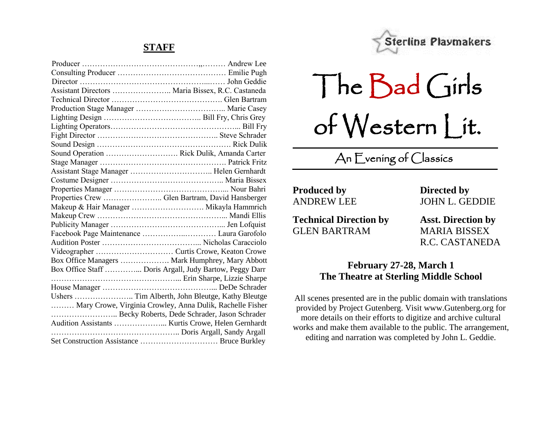#### **STAFF**

| Sound Operation  Rick Dulik, Amanda Carter                |
|-----------------------------------------------------------|
|                                                           |
|                                                           |
|                                                           |
|                                                           |
| Properties Crew  Glen Bartram, David Hansberger           |
| Makeup & Hair Manager  Mikayla Hammrich                   |
|                                                           |
|                                                           |
|                                                           |
|                                                           |
|                                                           |
| Box Office Managers  Mark Humphrey, Mary Abbott           |
| Box Office Staff  Doris Argall, Judy Bartow, Peggy Darr   |
|                                                           |
|                                                           |
| Ushers  Tim Alberth, John Bleutge, Kathy Bleutge          |
| Mary Crowe, Virginia Crowley, Anna Dulik, Rachelle Fisher |
| Becky Roberts, Dede Schrader, Jason Schrader              |
|                                                           |
|                                                           |
|                                                           |



The Bad Girls of Western Lit.

# An Evening of Classics

**Produced by Directed by**

**Technical Direction by Asst. Direction by** GLEN BARTRAM MARIA BISSEX

ANDREW LEE JOHN L. GEDDIE

R.C. CASTANEDA

#### **February 27-28, March 1 The Theatre at Sterling Middle School**

All scenes presented are in the public domain with translations provided by Project Gutenberg. Visit www.Gutenberg.org for more details on their efforts to digitize and archive cultural works and make them available to the public. The arrangement, editing and narration was completed by John L. Geddie.